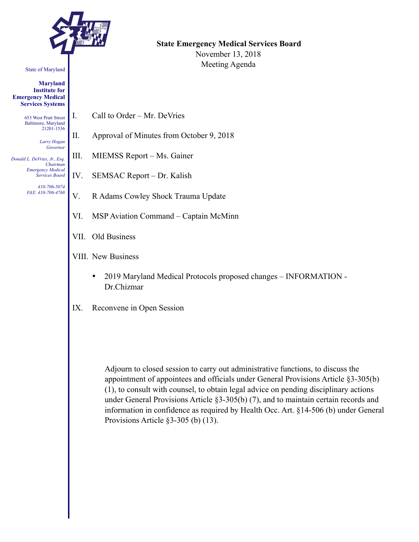

#### State of Maryland

**Maryland Institute for Emergency Medical Services Systems** 

> 653 West Pratt Street Baltimore, Maryland 21201-1536

> > *Larry Hogan Governor*

*Donald L. DeVries, Jr., Esq. Chairman Emergency Medical Services Board* 

> *410-706-5074 FAX: 410-706-4768*

**State Emergency Medical Services Board**  November 13, 2018 Meeting Agenda

- I. Call to Order Mr. DeVries
- II. Approval of Minutes from October 9, 2018
- III. MIEMSS Report Ms. Gainer
- IV. SEMSAC Report Dr. Kalish
- V. R Adams Cowley Shock Trauma Update
- VI. MSP Aviation Command Captain McMinn
- VII. Old Business
- VIII. New Business
	- 2019 Maryland Medical Protocols proposed changes INFORMATION Dr.Chizmar
- IX. Reconvene in Open Session

Adjourn to closed session to carry out administrative functions, to discuss the appointment of appointees and officials under General Provisions Article §3-305(b) (1), to consult with counsel, to obtain legal advice on pending disciplinary actions under General Provisions Article §3-305(b) (7), and to maintain certain records and information in confidence as required by Health Occ. Art. §14-506 (b) under General Provisions Article §3-305 (b) (13).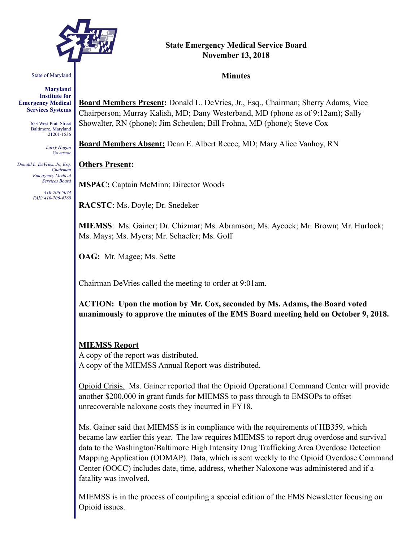

# **State Emergency Medical Service Board November 13, 2018**

#### State of Maryland

**Maryland Institute for Emergency Medical Services Systems** 

> 653 West Pratt Street Baltimore, Maryland 21201-1536

> > *Larry Hogan Governor*

*Donald L. DeVries, Jr., Esq. Chairman Emergency Medical Services Board* 

> *410-706-5074 FAX: 410-706-4768*

**Minutes** 

**Board Members Present:** Donald L. DeVries, Jr., Esq., Chairman; Sherry Adams, Vice Chairperson; Murray Kalish, MD; Dany Westerband, MD (phone as of 9:12am); Sally Showalter, RN (phone); Jim Scheulen; Bill Frohna, MD (phone); Steve Cox

**Board Members Absent:** Dean E. Albert Reece, MD; Mary Alice Vanhoy, RN

#### **Others Present:**

**MSPAC:** Captain McMinn; Director Woods

**RACSTC**: Ms. Doyle; Dr. Snedeker

**MIEMSS**: Ms. Gainer; Dr. Chizmar; Ms. Abramson; Ms. Aycock; Mr. Brown; Mr. Hurlock; Ms. Mays; Ms. Myers; Mr. Schaefer; Ms. Goff

**OAG:** Mr. Magee; Ms. Sette

Chairman DeVries called the meeting to order at 9:01am.

**ACTION: Upon the motion by Mr. Cox, seconded by Ms. Adams, the Board voted unanimously to approve the minutes of the EMS Board meeting held on October 9, 2018.** 

#### **MIEMSS Report**

A copy of the report was distributed. A copy of the MIEMSS Annual Report was distributed.

Opioid Crisis. Ms. Gainer reported that the Opioid Operational Command Center will provide another \$200,000 in grant funds for MIEMSS to pass through to EMSOPs to offset unrecoverable naloxone costs they incurred in FY18.

Ms. Gainer said that MIEMSS is in compliance with the requirements of HB359, which became law earlier this year. The law requires MIEMSS to report drug overdose and survival data to the Washington/Baltimore High Intensity Drug Trafficking Area Overdose Detection Mapping Application (ODMAP). Data, which is sent weekly to the Opioid Overdose Command Center (OOCC) includes date, time, address, whether Naloxone was administered and if a fatality was involved.

MIEMSS is in the process of compiling a special edition of the EMS Newsletter focusing on Opioid issues.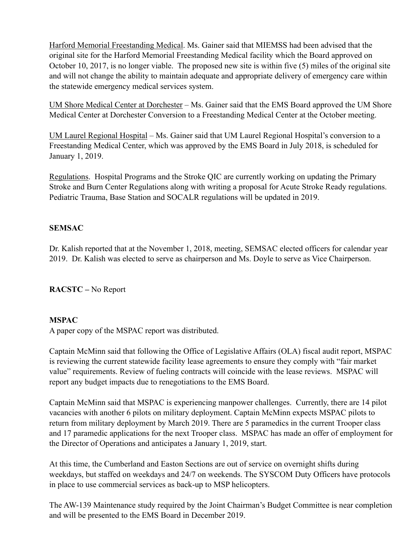Harford Memorial Freestanding Medical. Ms. Gainer said that MIEMSS had been advised that the original site for the Harford Memorial Freestanding Medical facility which the Board approved on October 10, 2017, is no longer viable. The proposed new site is within five (5) miles of the original site and will not change the ability to maintain adequate and appropriate delivery of emergency care within the statewide emergency medical services system.

UM Shore Medical Center at Dorchester – Ms. Gainer said that the EMS Board approved the UM Shore Medical Center at Dorchester Conversion to a Freestanding Medical Center at the October meeting.

UM Laurel Regional Hospital – Ms. Gainer said that UM Laurel Regional Hospital's conversion to a Freestanding Medical Center, which was approved by the EMS Board in July 2018, is scheduled for January 1, 2019.

Regulations. Hospital Programs and the Stroke QIC are currently working on updating the Primary Stroke and Burn Center Regulations along with writing a proposal for Acute Stroke Ready regulations. Pediatric Trauma, Base Station and SOCALR regulations will be updated in 2019.

# **SEMSAC**

Dr. Kalish reported that at the November 1, 2018, meeting, SEMSAC elected officers for calendar year 2019. Dr. Kalish was elected to serve as chairperson and Ms. Doyle to serve as Vice Chairperson.

**RACSTC –** No Report

# **MSPAC**

A paper copy of the MSPAC report was distributed.

Captain McMinn said that following the Office of Legislative Affairs (OLA) fiscal audit report, MSPAC is reviewing the current statewide facility lease agreements to ensure they comply with "fair market value" requirements. Review of fueling contracts will coincide with the lease reviews. MSPAC will report any budget impacts due to renegotiations to the EMS Board.

Captain McMinn said that MSPAC is experiencing manpower challenges. Currently, there are 14 pilot vacancies with another 6 pilots on military deployment. Captain McMinn expects MSPAC pilots to return from military deployment by March 2019. There are 5 paramedics in the current Trooper class and 17 paramedic applications for the next Trooper class. MSPAC has made an offer of employment for the Director of Operations and anticipates a January 1, 2019, start.

At this time, the Cumberland and Easton Sections are out of service on overnight shifts during weekdays, but staffed on weekdays and 24/7 on weekends. The SYSCOM Duty Officers have protocols in place to use commercial services as back-up to MSP helicopters.

The AW-139 Maintenance study required by the Joint Chairman's Budget Committee is near completion and will be presented to the EMS Board in December 2019.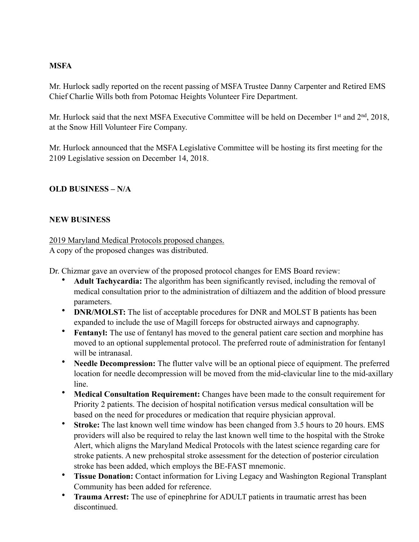## **MSFA**

Mr. Hurlock sadly reported on the recent passing of MSFA Trustee Danny Carpenter and Retired EMS Chief Charlie Wills both from Potomac Heights Volunteer Fire Department.

Mr. Hurlock said that the next MSFA Executive Committee will be held on December 1<sup>st</sup> and 2<sup>nd</sup>, 2018, at the Snow Hill Volunteer Fire Company.

Mr. Hurlock announced that the MSFA Legislative Committee will be hosting its first meeting for the 2109 Legislative session on December 14, 2018.

# **OLD BUSINESS – N/A**

## **NEW BUSINESS**

2019 Maryland Medical Protocols proposed changes.

A copy of the proposed changes was distributed.

Dr. Chizmar gave an overview of the proposed protocol changes for EMS Board review:

- **Adult Tachycardia:** The algorithm has been significantly revised, including the removal of medical consultation prior to the administration of diltiazem and the addition of blood pressure parameters.
- **DNR/MOLST:** The list of acceptable procedures for DNR and MOLST B patients has been expanded to include the use of Magill forceps for obstructed airways and capnography.
- **Fentanyl:** The use of fentanyl has moved to the general patient care section and morphine has moved to an optional supplemental protocol. The preferred route of administration for fentanyl will be intranasal.
- **Needle Decompression:** The flutter valve will be an optional piece of equipment. The preferred location for needle decompression will be moved from the mid-clavicular line to the mid-axillary line.
- **Medical Consultation Requirement:** Changes have been made to the consult requirement for Priority 2 patients. The decision of hospital notification versus medical consultation will be based on the need for procedures or medication that require physician approval.
- **Stroke:** The last known well time window has been changed from 3.5 hours to 20 hours. EMS providers will also be required to relay the last known well time to the hospital with the Stroke Alert, which aligns the Maryland Medical Protocols with the latest science regarding care for stroke patients. A new prehospital stroke assessment for the detection of posterior circulation stroke has been added, which employs the BE-FAST mnemonic.
- **Tissue Donation:** Contact information for Living Legacy and Washington Regional Transplant Community has been added for reference.
- **Trauma Arrest:** The use of epinephrine for ADULT patients in traumatic arrest has been discontinued.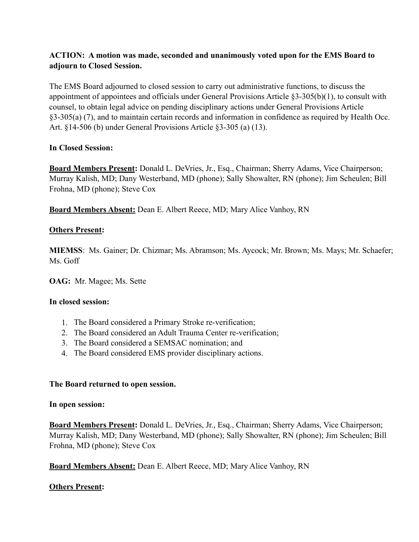# **ACTION: A motion was made, seconded and unanimously voted upon for the EMS Board to adjourn to Closed Session.**

The EMS Board adjourned to closed session to carry out administrative functions, to discuss the appointment of appointees and officials under General Provisions Article §3-305(b)(1), to consult with counsel, to obtain legal advice on pending disciplinary actions under General Provisions Article §3-305(a) (7), and to maintain certain records and information in confidence as required by Health Occ. Art. §14-506 (b) under General Provisions Article §3-305 (a) (13).

### **In Closed Session:**

**Board Members Present:** Donald L. DeVries, Jr., Esq., Chairman; Sherry Adams, Vice Chairperson; Murray Kalish, MD; Dany Westerband, MD (phone); Sally Showalter, RN (phone); Jim Scheulen; Bill Frohna, MD (phone); Steve Cox

**Board Members Absent:** Dean E. Albert Reece, MD; Mary Alice Vanhoy, RN

## **Others Present:**

**MIEMSS**: Ms. Gainer; Dr. Chizmar; Ms. Abramson; Ms. Aycock; Mr. Brown; Ms. Mays; Mr. Schaefer; Ms. Goff

**OAG:** Mr. Magee; Ms. Sette

#### **In closed session:**

- 1. The Board considered a Primary Stroke re-verification;
- 2. The Board considered an Adult Trauma Center re-verification;
- 3. The Board considered a SEMSAC nomination; and
- 4. The Board considered EMS provider disciplinary actions.

#### **The Board returned to open session.**

#### **In open session:**

**Board Members Present:** Donald L. DeVries, Jr., Esq., Chairman; Sherry Adams, Vice Chairperson; Murray Kalish, MD; Dany Westerband, MD (phone); Sally Showalter, RN (phone); Jim Scheulen; Bill Frohna, MD (phone); Steve Cox

**Board Members Absent:** Dean E. Albert Reece, MD; Mary Alice Vanhoy, RN

#### **Others Present:**